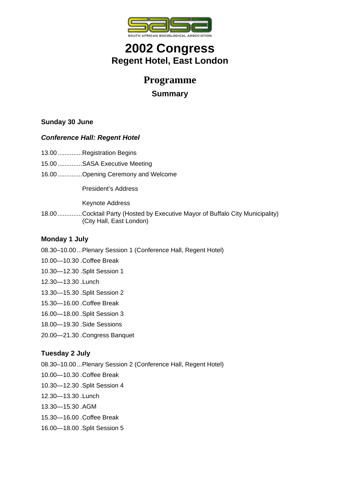

# **2002 Congress Regent Hotel, East London**

## **Programme**

## **Summary**

## **Sunday 30 June**

### *Conference Hall: Regent Hotel*

- 13.00..............Registration Begins
- 15.00..............SASA Executive Meeting
- 16.00..............Opening Ceremony and Welcome

President's Address

Keynote Address

18.00..............Cocktail Party (Hosted by Executive Mayor of Buffalo City Municipality) (City Hall, East London)

### **Monday 1 July**

- 08.30–10.00...Plenary Session 1 (Conference Hall, Regent Hotel)
- 10.00—10.30 .Coffee Break
- 10.30—12.30 .Split Session 1
- 12.30—13.30 .Lunch
- 13.30—15.30 .Split Session 2
- 15.30—16.00 .Coffee Break
- 16.00—18.00 .Split Session 3
- 18.00—19.30 .Side Sessions
- 20.00—21.30 .Congress Banquet

### **Tuesday 2 July**

- 08.30–10.00...Plenary Session 2 (Conference Hall, Regent Hotel)
- 10.00—10.30 .Coffee Break
- 10.30—12.30 .Split Session 4
- 12.30—13.30 .Lunch
- 13.30—15.30 .AGM
- 15.30—16.00 .Coffee Break
- 16.00—18.00 .Split Session 5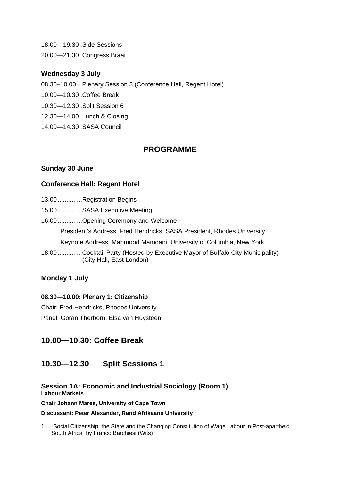18.00—19.30 .Side Sessions 20.00—21.30 .Congress Braai

#### **Wednesday 3 July**

- 08.30–10.00...Plenary Session 3 (Conference Hall, Regent Hotel)
- 10.00—10.30 .Coffee Break
- 10.30—12.30 .Split Session 6
- 12.30—14.00 .Lunch & Closing
- 14.00—14.30 .SASA Council

## **PROGRAMME**

#### **Sunday 30 June**

#### **Conference Hall: Regent Hotel**

| 13.00 Registration Begins                                                                                |
|----------------------------------------------------------------------------------------------------------|
| 15.00 SASA Executive Meeting                                                                             |
| 16.00 Opening Ceremony and Welcome                                                                       |
| President's Address: Fred Hendricks, SASA President, Rhodes University                                   |
| Keynote Address: Mahmood Mamdani, University of Columbia, New York                                       |
| 18.00Cocktail Party (Hosted by Executive Mayor of Buffalo City Municipality)<br>(City Hall, East London) |

### **Monday 1 July**

#### **08.30—10.00: Plenary 1: Citizenship**

Chair: Fred Hendricks, Rhodes University

Panel: Göran Therborn, Elsa van Huysteen,

## **10.00—10.30: Coffee Break**

## **10.30—12.30 Split Sessions 1**

#### **Session 1A: Economic and Industrial Sociology (Room 1) Labour Markets**

**Chair Johann Maree, University of Cape Town** 

#### **Discussant: Peter Alexander, Rand Afrikaans University**

1. "Social Citizenship, the State and the Changing Constitution of Wage Labour in Post-apartheid South Africa" by Franco Barchiesi (Wits)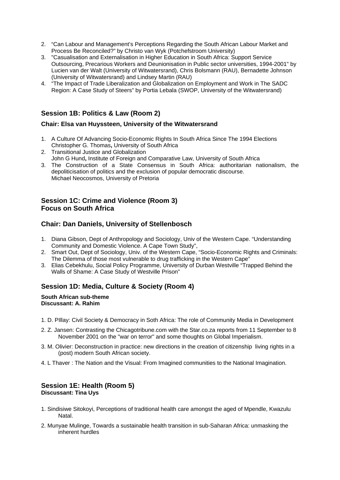- 2. "Can Labour and Management's Perceptions Regarding the South African Labour Market and Process Be Reconciled?" by Christo van Wyk (Potchefstroom University)
- 3. "Casualisation and Externalisation in Higher Education in South Africa: Support Service Outsourcing, Precarious Workers and Deunionisation in Public sector universities, 1994-2001" by Lucien van der Walt (University of Witwatersrand), Chris Bolsmann (RAU), Bernadette Johnson (University of Witwatersrand) and Lindsey Martin (RAU)
- 4. <sup>"</sup>The Impact of Trade Liberalization and Globalization on Employment and Work in The SADC Region: A Case Study of Steers" by Portia Lebala (SWOP, University of the Witwatersrand)

### **Session 1B: Politics & Law (Room 2)**

#### **Chair: Elsa van Huyssteen, University of the Witwatersrand**

- 1. A Culture Of Advancing Socio-Economic Rights In South Africa Since The 1994 Elections Christopher G. Thomas**,** University of South Africa
- 2. Transitional Justice and Globalization John G Hund**,** Institute of Foreign and Comparative Law, University of South Africa
- 3. The Construction of a State Consensus in South Africa: authoritarian nationalism, the depoliticisation of politics and the exclusion of popular democratic discourse. Michael Neocosmos, University of Pretoria

#### **Session 1C: Crime and Violence (Room 3) Focus on South Africa**

### **Chair: Dan Daniels, University of Stellenbosch**

- 1. Diana Gibson, Dept of Anthropology and Sociology, Univ of the Western Cape. "Understanding Community and Domestic Violence. A Cape Town Study",
- 2. Smart Out, Dept of Sociology, Univ. of the Western Cape, "Socio-Economic Rights and Criminals: The Dilemma of those most vulnerable to drug trafficking in the Western Cape"
- 3. Elias Cebekhulu, Social Policy Programme, University of Durban Westville "Trapped Behind the Walls of Shame: A Case Study of Westville Prison"

### **Session 1D: Media, Culture & Society (Room 4)**

#### **South African sub-theme Discussant: A. Rahim**

- 1. D. PIllay: Civil Society & Democracy in Soth Africa: The role of Community Media in Development
- 2. Z. Jansen: Contrasting the Chicagotribune.com with the Star.co.za reports from 11 September to 8 November 2001 on the "war on terror" and some thoughts on Global Imperialism.
- 3. M. Olivier: Deconstruction in practice: new directions in the creation of citizenship living rights in a (post) modern South African society.
- 4. L Thaver : The Nation and the Visual: From Imagined communities to the National Imagination.

#### **Session 1E: Health (Room 5) Discussant: Tina Uys**

- 1. Sindisiwe Sitokoyi, Perceptions of traditional health care amongst the aged of Mpendle, Kwazulu Natal.
- 2. Munyae Mulinge, Towards a sustainable health transition in sub-Saharan Africa: unmasking the inherent hurdles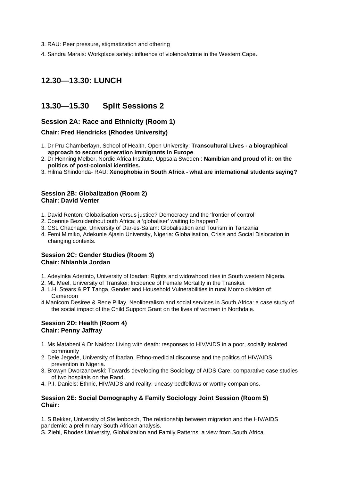- 3. RAU: Peer pressure, stigmatization and othering
- 4. Sandra Marais: Workplace safety: influence of violence/crime in the Western Cape.

## **12.30—13.30: LUNCH**

## **13.30—15.30 Split Sessions 2**

#### **Session 2A: Race and Ethnicity (Room 1)**

#### **Chair: Fred Hendricks (Rhodes University)**

- 1. Dr Pru Chamberlayn, School of Health, Open University: **Transcultural Lives a biographical approach to second generation immigrants in Europe**.
- 2. Dr Henning Melber, Nordic Africa Institute, Uppsala Sweden : **Namibian and proud of it: on the politics of post-colonial identities.**
- 3. Hilma Shindonda- RAU: **Xenophobia in South Africa what are international students saying?**

#### **Session 2B: Globalization (Room 2) Chair: David Venter**

- 1. David Renton: Globalisation versus justice? Democracy and the 'frontier of control'
- 2. Coennie Bezuidenhout:outh Africa: a 'globaliser' waiting to happen?
- 3. CSL Chachage, University of Dar-es-Salam: Globalisation and Tourism in Tanzania
- 4. Femi Mimiko, Adekunle Ajasin University, Nigeria: Globalisation, Crisis and Social Dislocation in changing contexts.

#### **Session 2C: Gender Studies (Room 3) Chair: Nhlanhla Jordan**

- 1. Adeyinka Aderinto, University of Ibadan: Rights and widowhood rites in South western Nigeria.
- 2. ML Meel, University of Transkei: Incidence of Female Mortality in the Transkei.
- 3. L.H. Stears & PT Tanga, Gender and Household Vulnerabilities in rural Momo division of Cameroon
- 4.Manicom Desiree & Rene Pillay, Neoliberalism and social services in South Africa: a case study of the social impact of the Child Support Grant on the lives of wormen in Northdale.

#### **Session 2D: Health (Room 4) Chair: Penny Jaffray**

- 1. Ms Matabeni & Dr Naidoo: Living with death: responses to HIV/AIDS in a poor, socially isolated community
- 2. Dele Jegede, University of Ibadan, Ethno-medicial discourse and the politics of HIV/AIDS prevention in Nigeria.
- 3. Browyn Dworzanowski: Towards developing the Sociology of AIDS Care: comparative case studies of two hospitals on the Rand.
- 4. P.I. Daniels: Ethnic, HIV/AIDS and reality: uneasy bedfellows or worthy companions.

#### **Session 2E: Social Demography & Family Sociology Joint Session (Room 5) Chair:**

1. S Bekker, University of Stellenbosch, The relationship between migration and the HIV/AIDS pandemic: a preliminary South African analysis.

S. Ziehl, Rhodes University, Globalization and Family Patterns: a view from South Africa.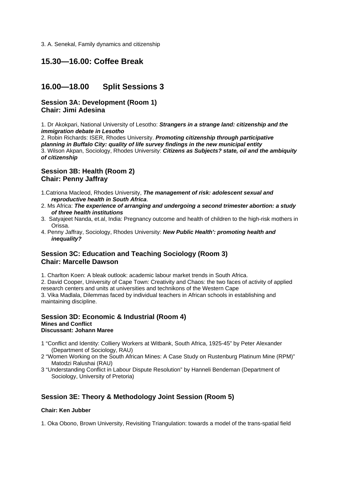3. A. Senekal, Family dynamics and citizenship

## **15.30—16.00: Coffee Break**

## **16.00—18.00 Split Sessions 3**

#### **Session 3A: Development (Room 1) Chair: Jimi Adesina**

1. Dr Akokpari, National University of Lesotho: *Strangers in a strange land: citizenship and the immigration debate in Lesotho*

2. Robin Richards: ISER, Rhodes University. *Promoting citizenship through participative planning in Buffalo City: quality of life survey findings in the new municipal entity* 3. Wilson Akpan, Sociology, Rhodes University: *Citizens as Subjects? state, oil and the ambiquity of citizenship*

#### **Session 3B: Health (Room 2) Chair: Penny Jaffray**

- 1.Catriona Macleod, Rhodes University, *The management of risk: adolescent sexual and reproductive health in South Africa*.
- 2. Ms Africa: *The experience of arranging and undergoing a second trimester abortion: a study of three health institutions*
- 3. Satyajeet Nanda, et.al, India: Pregnancy outcome and health of children to the high-risk mothers in Orissa.
- 4. Penny Jaffray, Sociology, Rhodes University: *New Public Health': promoting health and inequality?*

### **Session 3C: Education and Teaching Sociology (Room 3) Chair: Marcelle Dawson**

1. Charlton Koen: A bleak outlook: academic labour market trends in South Africa.

2. David Cooper, University of Cape Town: Creativity and Chaos: the two faces of activity of applied research centers and units at universities and technikons of the Western Cape 3. Vika Madlala, Dilemmas faced by individual teachers in African schools in establishing and maintaining discipline.

#### **Session 3D: Economic & Industrial (Room 4) Mines and Conflict Discussant: Johann Maree**

- 1 "Conflict and Identity: Colliery Workers at Witbank, South Africa, 1925-45" by Peter Alexander (Department of Sociology, RAU)
- 2 "Women Working on the South African Mines: A Case Study on Rustenburg Platinum Mine (RPM)" Matodzi Ralushai (RAU)
- 3 "Understanding Conflict in Labour Dispute Resolution" by Hanneli Bendeman (Department of Sociology, University of Pretoria)

### **Session 3E: Theory & Methodology Joint Session (Room 5)**

#### **Chair: Ken Jubber**

1. Oka Obono, Brown University, Revisiting Triangulation: towards a model of the trans-spatial field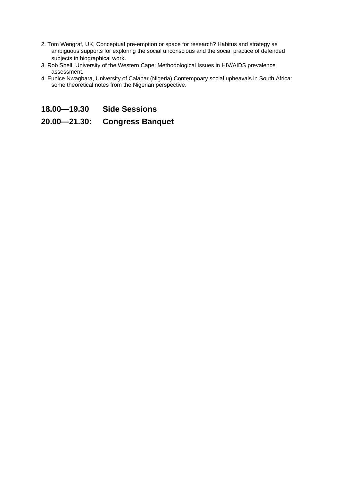- 2. Tom Wengraf, UK, Conceptual pre-emption or space for research? Habitus and strategy as ambiguous supports for exploring the social unconscious and the social practice of defended subjects in biographical work.
- 3. Rob Shell, University of the Western Cape: Methodological Issues in HIV/AIDS prevalence assessment.
- 4. Eunice Nwagbara, University of Calabar (Nigeria) Contempoary social upheavals in South Africa: some theoretical notes from the Nigerian perspective.
- **18.00—19.30 Side Sessions**

## **20.00—21.30: Congress Banquet**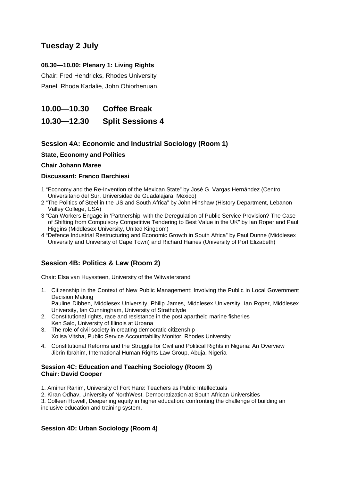## **Tuesday 2 July**

#### **08.30—10.00: Plenary 1: Living Rights**

Chair: Fred Hendricks, Rhodes University Panel: Rhoda Kadalie, John Ohiorhenuan,

**10.00—10.30 Coffee Break** 

**10.30—12.30 Split Sessions 4** 

### **Session 4A: Economic and Industrial Sociology (Room 1)**

#### **State, Economy and Politics**

#### **Chair Johann Maree**

#### **Discussant: Franco Barchiesi**

- 1 "Economy and the Re-Invention of the Mexican State" by José G. Vargas Hernández (Centro Universitario del Sur, Universidad de Guadalajara, Mexico)
- 2 "The Politics of Steel in the US and South Africa" by John Hinshaw (History Department, Lebanon Valley College, USA)
- 3 "Can Workers Engage in 'Partnership' with the Deregulation of Public Service Provision? The Case of Shifting from Compulsory Competitive Tendering to Best Value in the UK" by Ian Roper and Paul Higgins (Middlesex University, United Kingdom)
- 4 "Defence Industrial Restructuring and Economic Growth in South Africa" by Paul Dunne (Middlesex University and University of Cape Town) and Richard Haines (University of Port Elizabeth)

### **Session 4B: Politics & Law (Room 2)**

Chair: Elsa van Huyssteen, University of the Witwatersrand

- 1. Citizenship in the Context of New Public Management: Involving the Public in Local Government Decision Making Pauline Dibben, Middlesex University, Philip James, Middlesex University, Ian Roper, Middlesex University, Ian Cunningham, University of Strathclyde
- 2. Constitutional rights, race and resistance in the post apartheid marine fisheries Ken Salo, University of Illinois at Urbana
- 3. The role of civil society in creating democratic citizenship Xolisa Vitsha, Public Service Accountability Monitor, Rhodes University
- 4. Constitutional Reforms and the Struggle for Civil and Political Rights in Nigeria: An Overview Jibrin Ibrahim, International Human Rights Law Group, Abuja, Nigeria

#### **Session 4C: Education and Teaching Sociology (Room 3) Chair: David Cooper**

- 1. Aminur Rahim, University of Fort Hare: Teachers as Public Intellectuals
- 2. Kiran Odhav, University of NorthWest, Democratization at South African Universities

3. Colleen Howell, Deepening equity in higher education: confronting the challenge of building an inclusive education and training system.

#### **Session 4D: Urban Sociology (Room 4)**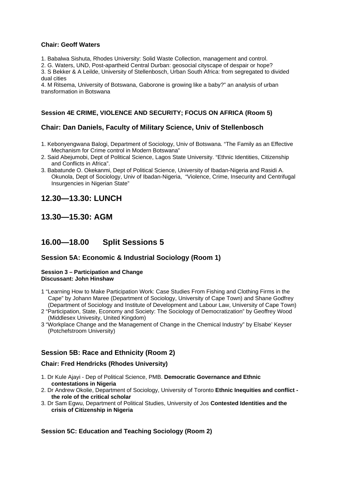#### **Chair: Geoff Waters**

1. Babalwa Sishuta, Rhodes University: Solid Waste Collection, management and control.

2. G. Waters, UND, Post-apartheid Central Durban: geosocial cityscape of despair or hope?

3. S Bekker & A Leilde, University of Stellenbosch, Urban South Africa: from segregated to divided dual cities

4. M Ritsema, University of Botswana, Gaborone is growing like a baby?" an analysis of urban transformation in Botswana

#### **Session 4E CRIME, VIOLENCE AND SECURITY; FOCUS ON AFRICA (Room 5)**

### **Chair: Dan Daniels, Faculty of Military Science, Univ of Stellenbosch**

- 1. Kebonyengwana Balogi, Department of Sociology, Univ of Botswana. "The Family as an Effective Mechanism for Crime control in Modern Botswana"
- 2. Said Abejumobi, Dept of Political Science, Lagos State University. "Ethnic Identities, Citizenship and Conflicts in Africa".
- 3. Babatunde O. Okekanmi, Dept of Political Science, University of Ibadan-Nigeria and Rasidi A. Okunola, Dept of Sociology, Univ of Ibadan-Nigeria, "Violence, Crime, Insecurity and Centrifugal Insurgencies in Nigerian State"

## **12.30—13.30: LUNCH**

**13.30—15.30: AGM** 

## **16.00—18.00 Split Sessions 5**

### **Session 5A: Economic & Industrial Sociology (Room 1)**

#### **Session 3 – Participation and Change Discussant: John Hinshaw**

- 1 "Learning How to Make Participation Work: Case Studies From Fishing and Clothing Firms in the Cape" by Johann Maree (Department of Sociology, University of Cape Town) and Shane Godfrey (Department of Sociology and Institute of Development and Labour Law, University of Cape Town)
- 2 "Participation, State, Economy and Society: The Sociology of Democratization" by Geoffrey Wood (Middlesex Univesity, United Kingdom)
- 3 "Workplace Change and the Management of Change in the Chemical Industry" by Elsabe' Keyser (Potchefstroom University)

### **Session 5B: Race and Ethnicity (Room 2)**

#### **Chair: Fred Hendricks (Rhodes University)**

- 1. Dr Kule Ajayi Dep of Political Science, PMB. **Democratic Governance and Ethnic contestations in Nigeria**
- 2. Dr Andrew Okolie, Department of Sociology, University of Toronto **Ethnic Inequities and conflict the role of the critical scholar**
- 3. Dr Sam Egwu, Department of Political Studies, University of Jos **Contested Identities and the crisis of Citizenship in Nigeria**

#### **Session 5C: Education and Teaching Sociology (Room 2)**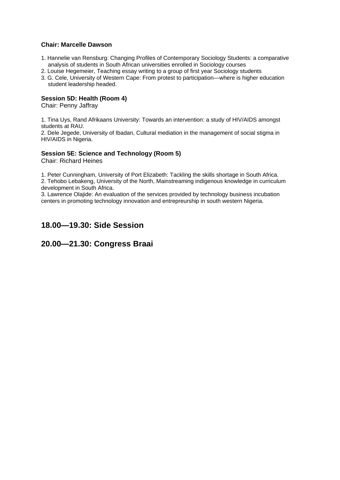#### **Chair: Marcelle Dawson**

- 1. Hannelie van Rensburg: Changing Profiles of Contemporary Sociology Students: a comparative analysis of students in South African universities enrolled in Sociology courses
- 2. Louise Hegemeier, Teaching essay writing to a group of first year Sociology students
- 3. G. Cele, University of Western Cape: From protest to participation—where is higher education student leadership headed.

#### **Session 5D: Health (Room 4)**

Chair: Penny Jaffray

1. Tina Uys, Rand Afrikaans University: Towards an intervention: a study of HIV/AIDS amongst students at RAU.

2. Dele Jegede, University of Ibadan, Cultural mediation in the management of social stigma in HIV/AIDS in Nigeria.

#### **Session 5E: Science and Technology (Room 5)**

Chair: Richard Heines

1. Peter Cunningham, University of Port Elizabeth: Tackling the skills shortage in South Africa. 2. Tehobo Lebakeng, University of the North, Mainstreaming indigenous knowledge in curriculum development in South Africa.

3. Lawrence Olajide: An evaluation of the services provided by technology business incubation centers in promoting technology innovation and entrepreurship in south western Nigeria.

## **18.00—19.30: Side Session**

### **20.00—21.30: Congress Braai**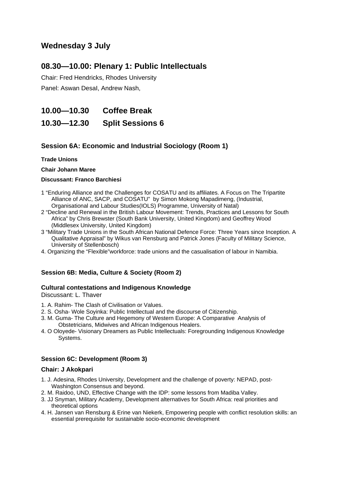## **Wednesday 3 July**

## **08.30—10.00: Plenary 1: Public Intellectuals**

Chair: Fred Hendricks, Rhodes University

Panel: Aswan DesaI, Andrew Nash,

**10.00—10.30 Coffee Break** 

**10.30—12.30 Split Sessions 6** 

### **Session 6A: Economic and Industrial Sociology (Room 1)**

#### **Trade Unions**

**Chair Johann Maree** 

#### **Discussant: Franco Barchiesi**

- 1 "Enduring Alliance and the Challenges for COSATU and its affiliates. A Focus on The Tripartite Alliance of ANC, SACP, and COSATU" by Simon Mokong Mapadimeng, (Industrial, Organisational and Labour Studies(IOLS) Programme, University of Natal)
- 2 "Decline and Renewal in the British Labour Movement: Trends, Practices and Lessons for South Africa" by Chris Brewster (South Bank University, United Kingdom) and Geoffrey Wood (Middlesex University, United Kingdom)
- 3 "Military Trade Unions in the South African National Defence Force: Three Years since Inception. A Qualitative Appraisal" by Wikus van Rensburg and Patrick Jones (Faculty of Military Science, University of Stellenbosch)
- 4. Organizing the "Flexible"workforce: trade unions and the casualisation of labour in Namibia.

### **Session 6B: Media, Culture & Society (Room 2)**

#### **Cultural contestations and Indigenous Knowledge**

Discussant: L. Thaver

- 1. A. Rahim- The Clash of Civilisation or Values.
- 2. S. Osha- Wole Soyinka: Public Intellectual and the discourse of Citizenship.
- 3. M. Guma- The Culture and Hegemony of Western Europe: A Comparative Analysis of Obstetricians, Midwives and African Indigenous Healers.
- 4. O Oloyede- Visionary Dreamers as Public Intellectuals: Foregrounding Indigenous Knowledge Systems.

### **Session 6C: Development (Room 3)**

#### **Chair: J Akokpari**

- 1. J. Adesina, Rhodes University, Development and the challenge of poverty: NEPAD, post-Washington Consensus and beyond.
- 2. M. Raidoo, UND, Effective Change with the IDP: some lessons from Madiba Valley.
- 3. JJ Snyman, Military Academy, Development alternatives for South Africa: real priorities and theoretical options
- 4. H. Jansen van Rensburg & Erine van Niekerk, Empowering people with conflict resolution skills: an essential prerequisite for sustainable socio-economic development